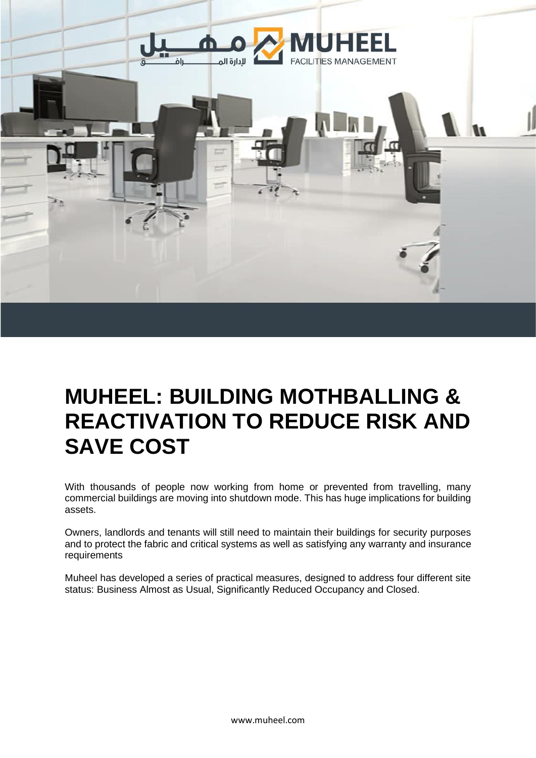

# **MUHEEL: BUILDING MOTHBALLING & REACTIVATION TO REDUCE RISK AND SAVE COST**

With thousands of people now working from home or prevented from travelling, many commercial buildings are moving into shutdown mode. This has huge implications for building assets.

Owners, landlords and tenants will still need to maintain their buildings for security purposes and to protect the fabric and critical systems as well as satisfying any warranty and insurance requirements

Muheel has developed a series of practical measures, designed to address four different site status: Business Almost as Usual, Significantly Reduced Occupancy and Closed.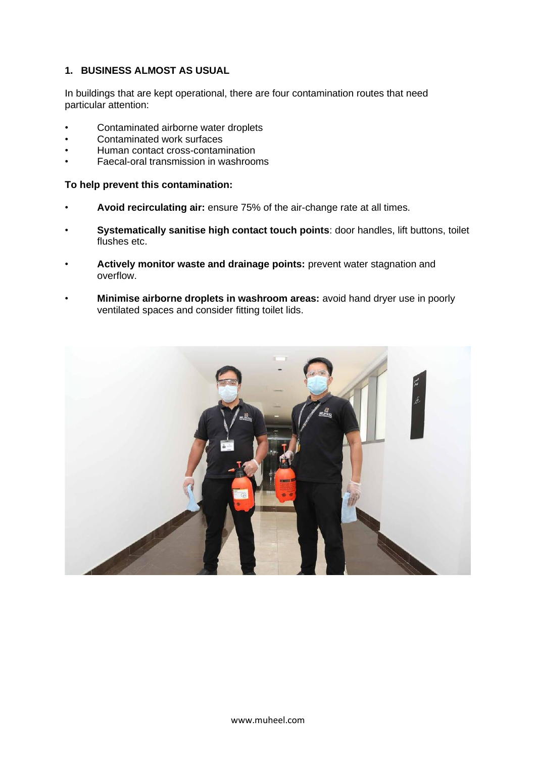## **1. BUSINESS ALMOST AS USUAL**

In buildings that are kept operational, there are four contamination routes that need particular attention:

- Contaminated airborne water droplets
- Contaminated work surfaces
- Human contact cross-contamination
- Faecal-oral transmission in washrooms

#### **To help prevent this contamination:**

- **Avoid recirculating air:** ensure 75% of the air-change rate at all times.
- **Systematically sanitise high contact touch points**: door handles, lift buttons, toilet flushes etc.
- **Actively monitor waste and drainage points:** prevent water stagnation and overflow.
- **Minimise airborne droplets in washroom areas:** avoid hand dryer use in poorly ventilated spaces and consider fitting toilet lids.

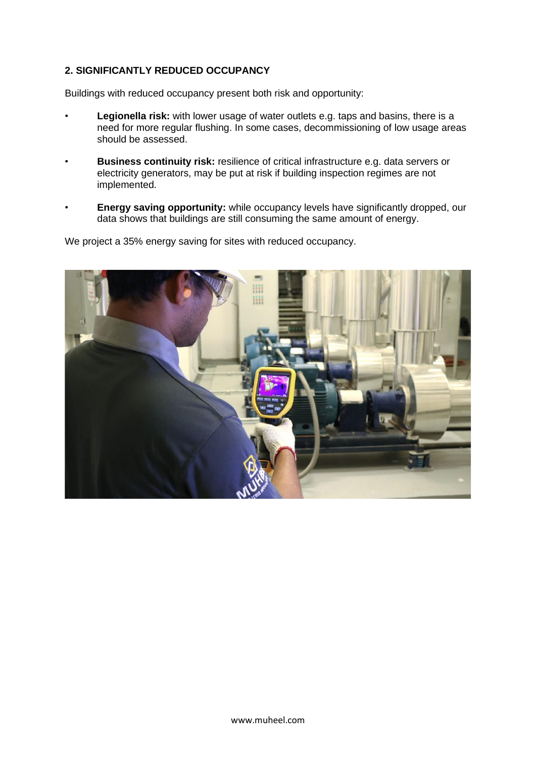## **2. SIGNIFICANTLY REDUCED OCCUPANCY**

Buildings with reduced occupancy present both risk and opportunity:

- **Legionella risk:** with lower usage of water outlets e.g. taps and basins, there is a need for more regular flushing. In some cases, decommissioning of low usage areas should be assessed.
- **Business continuity risk:** resilience of critical infrastructure e.g. data servers or electricity generators, may be put at risk if building inspection regimes are not implemented.
- **Energy saving opportunity:** while occupancy levels have significantly dropped, our data shows that buildings are still consuming the same amount of energy.

We project a 35% energy saving for sites with reduced occupancy.